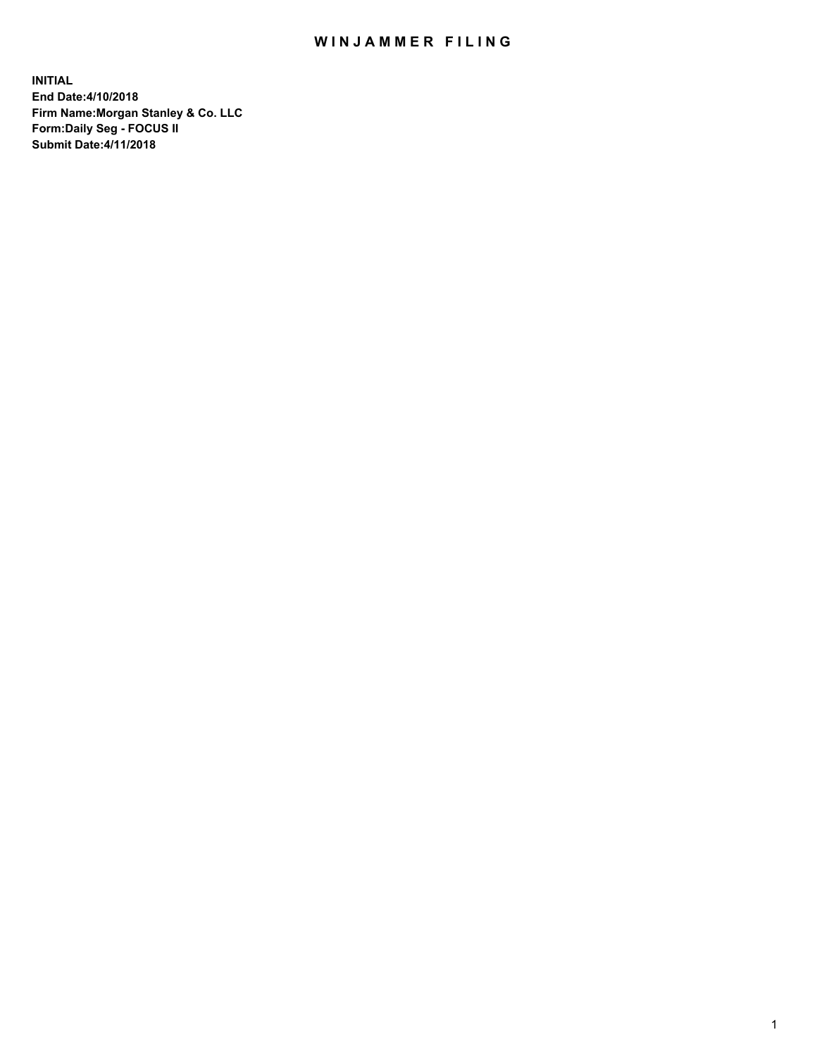## WIN JAMMER FILING

**INITIAL End Date:4/10/2018 Firm Name:Morgan Stanley & Co. LLC Form:Daily Seg - FOCUS II Submit Date:4/11/2018**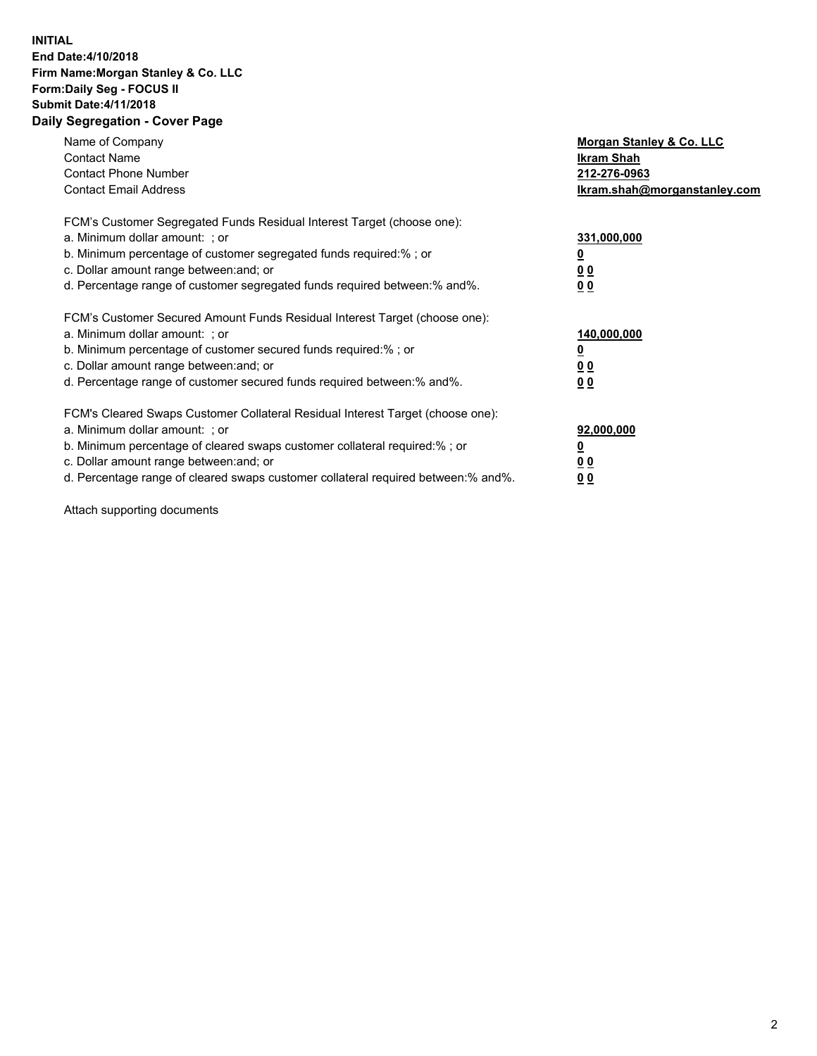## **INITIAL End Date:4/10/2018 Firm Name:Morgan Stanley & Co. LLC Form:Daily Seg - FOCUS II Submit Date:4/11/2018 Daily Segregation - Cover Page**

| Name of Company<br><b>Contact Name</b><br><b>Contact Phone Number</b><br><b>Contact Email Address</b>                                                                                                                                                                                                                          | Morgan Stanley & Co. LLC<br>Ikram Shah<br>212-276-0963<br>lkram.shah@morganstanley.com |
|--------------------------------------------------------------------------------------------------------------------------------------------------------------------------------------------------------------------------------------------------------------------------------------------------------------------------------|----------------------------------------------------------------------------------------|
| FCM's Customer Segregated Funds Residual Interest Target (choose one):<br>a. Minimum dollar amount: ; or<br>b. Minimum percentage of customer segregated funds required:%; or<br>c. Dollar amount range between: and; or<br>d. Percentage range of customer segregated funds required between: % and %.                        | 331,000,000<br>0 <sub>0</sub><br>00                                                    |
| FCM's Customer Secured Amount Funds Residual Interest Target (choose one):<br>a. Minimum dollar amount: ; or<br>b. Minimum percentage of customer secured funds required:%; or<br>c. Dollar amount range between: and; or<br>d. Percentage range of customer secured funds required between:% and%.                            | 140,000,000<br>0 <sub>0</sub><br>0 <sub>0</sub>                                        |
| FCM's Cleared Swaps Customer Collateral Residual Interest Target (choose one):<br>a. Minimum dollar amount: ; or<br>b. Minimum percentage of cleared swaps customer collateral required:% ; or<br>c. Dollar amount range between: and; or<br>d. Percentage range of cleared swaps customer collateral required between:% and%. | 92,000,000<br>0 <sub>0</sub><br>0 <sub>0</sub>                                         |

Attach supporting documents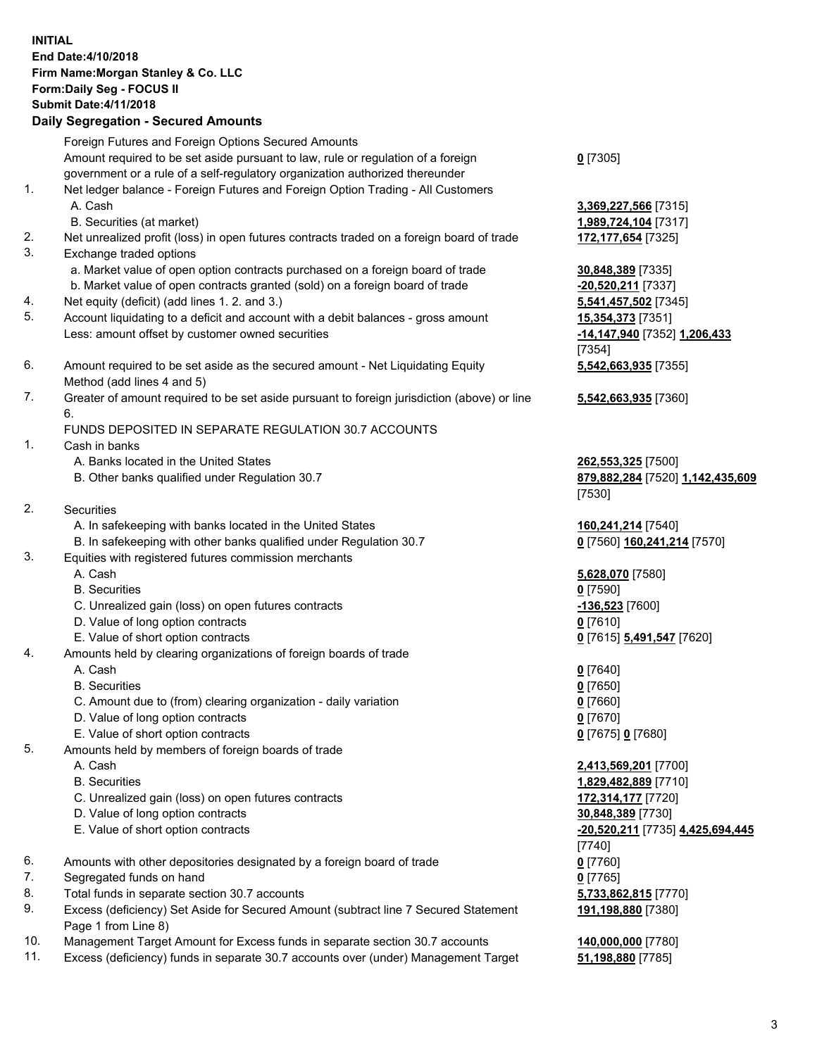## **INITIAL End Date:4/10/2018 Firm Name:Morgan Stanley & Co. LLC Form:Daily Seg - FOCUS II Submit Date:4/11/2018 Daily Segregation - Secured Amounts**

Foreign Futures and Foreign Options Secured Amounts Amount required to be set aside pursuant to law, rule or regulation of a foreign government or a rule of a self-regulatory organization authorized thereunder

- 1. Net ledger balance Foreign Futures and Foreign Option Trading All Customers A. Cash **3,369,227,566** [7315]
	- B. Securities (at market) **1,989,724,104** [7317]
- 2. Net unrealized profit (loss) in open futures contracts traded on a foreign board of trade **172,177,654** [7325]
- 3. Exchange traded options
	- a. Market value of open option contracts purchased on a foreign board of trade **30,848,389** [7335]
	- b. Market value of open contracts granted (sold) on a foreign board of trade **-20,520,211** [7337]
- 4. Net equity (deficit) (add lines 1. 2. and 3.) **5,541,457,502** [7345]
- 5. Account liquidating to a deficit and account with a debit balances gross amount **15,354,373** [7351] Less: amount offset by customer owned securities **-14,147,940** [7352] **1,206,433**
- 6. Amount required to be set aside as the secured amount Net Liquidating Equity Method (add lines 4 and 5)
- 7. Greater of amount required to be set aside pursuant to foreign jurisdiction (above) or line 6.

## FUNDS DEPOSITED IN SEPARATE REGULATION 30.7 ACCOUNTS

- 1. Cash in banks
	- A. Banks located in the United States **262,553,325** [7500]
	- B. Other banks qualified under Regulation 30.7 **879,882,284** [7520] **1,142,435,609**
- 2. Securities
	- A. In safekeeping with banks located in the United States **160,241,214** [7540]
	- B. In safekeeping with other banks qualified under Regulation 30.7 **0** [7560] **160,241,214** [7570]
- 3. Equities with registered futures commission merchants
	-
	-
	- C. Unrealized gain (loss) on open futures contracts **-136,523** [7600]
	- D. Value of long option contracts **0** [7610]
- E. Value of short option contracts **0** [7615] **5,491,547** [7620]
- 4. Amounts held by clearing organizations of foreign boards of trade
	-
	-
	- C. Amount due to (from) clearing organization daily variation **0** [7660]
	- D. Value of long option contracts **0** [7670]
	- E. Value of short option contracts **0** [7675] **0** [7680]
- 5. Amounts held by members of foreign boards of trade
	-
	-
	- C. Unrealized gain (loss) on open futures contracts **172,314,177** [7720]
	- D. Value of long option contracts **30,848,389** [7730]
	- E. Value of short option contracts **-20,520,211** [7735] **4,425,694,445**
- 6. Amounts with other depositories designated by a foreign board of trade **0** [7760]
- 7. Segregated funds on hand **0** [7765]
- 8. Total funds in separate section 30.7 accounts **5,733,862,815** [7770]
- 9. Excess (deficiency) Set Aside for Secured Amount (subtract line 7 Secured Statement Page 1 from Line 8)
- 10. Management Target Amount for Excess funds in separate section 30.7 accounts **140,000,000** [7780]
- 11. Excess (deficiency) funds in separate 30.7 accounts over (under) Management Target **51,198,880** [7785]

**0** [7305]

[7354] **5,542,663,935** [7355]

**5,542,663,935** [7360]

[7530]

 A. Cash **5,628,070** [7580] B. Securities **0** [7590]

 A. Cash **0** [7640] B. Securities **0** [7650]

 A. Cash **2,413,569,201** [7700] B. Securities **1,829,482,889** [7710] [7740] **191,198,880** [7380]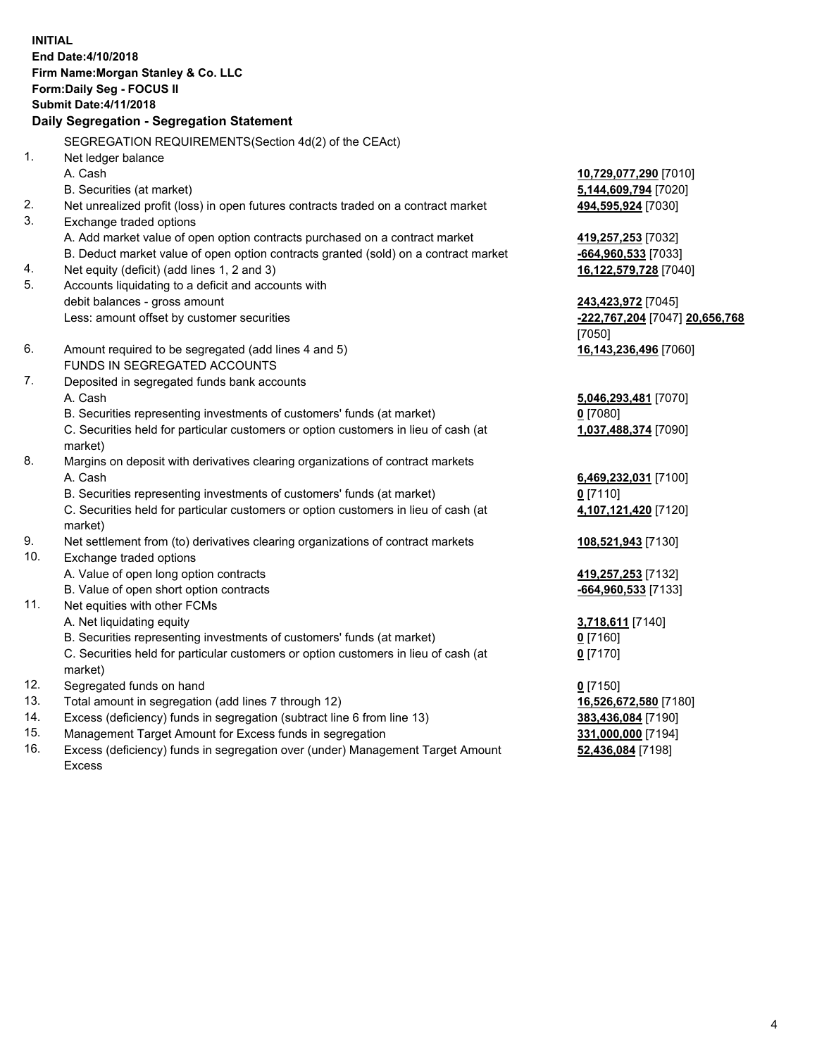**INITIAL End Date:4/10/2018 Firm Name:Morgan Stanley & Co. LLC Form:Daily Seg - FOCUS II Submit Date:4/11/2018 Daily Segregation - Segregation Statement** SEGREGATION REQUIREMENTS(Section 4d(2) of the CEAct) 1. Net ledger balance A. Cash **10,729,077,290** [7010] B. Securities (at market) **5,144,609,794** [7020] 2. Net unrealized profit (loss) in open futures contracts traded on a contract market **494,595,924** [7030] 3. Exchange traded options A. Add market value of open option contracts purchased on a contract market **419,257,253** [7032] B. Deduct market value of open option contracts granted (sold) on a contract market **-664,960,533** [7033] 4. Net equity (deficit) (add lines 1, 2 and 3) **16,122,579,728** [7040] 5. Accounts liquidating to a deficit and accounts with debit balances - gross amount **243,423,972** [7045] Less: amount offset by customer securities **-222,767,204** [7047] **20,656,768** [7050] 6. Amount required to be segregated (add lines 4 and 5) **16,143,236,496** [7060] FUNDS IN SEGREGATED ACCOUNTS 7. Deposited in segregated funds bank accounts A. Cash **5,046,293,481** [7070] B. Securities representing investments of customers' funds (at market) **0** [7080] C. Securities held for particular customers or option customers in lieu of cash (at market) **1,037,488,374** [7090] 8. Margins on deposit with derivatives clearing organizations of contract markets A. Cash **6,469,232,031** [7100] B. Securities representing investments of customers' funds (at market) **0** [7110] C. Securities held for particular customers or option customers in lieu of cash (at market) **4,107,121,420** [7120] 9. Net settlement from (to) derivatives clearing organizations of contract markets **108,521,943** [7130] 10. Exchange traded options A. Value of open long option contracts **419,257,253** [7132] B. Value of open short option contracts **-664,960,533** [7133] 11. Net equities with other FCMs A. Net liquidating equity **3,718,611** [7140] B. Securities representing investments of customers' funds (at market) **0** [7160] C. Securities held for particular customers or option customers in lieu of cash (at market) **0** [7170] 12. Segregated funds on hand **0** [7150] 13. Total amount in segregation (add lines 7 through 12) **16,526,672,580** [7180] 14. Excess (deficiency) funds in segregation (subtract line 6 from line 13) **383,436,084** [7190]

- 15. Management Target Amount for Excess funds in segregation **331,000,000** [7194]
- 16. Excess (deficiency) funds in segregation over (under) Management Target Amount Excess

**52,436,084** [7198]